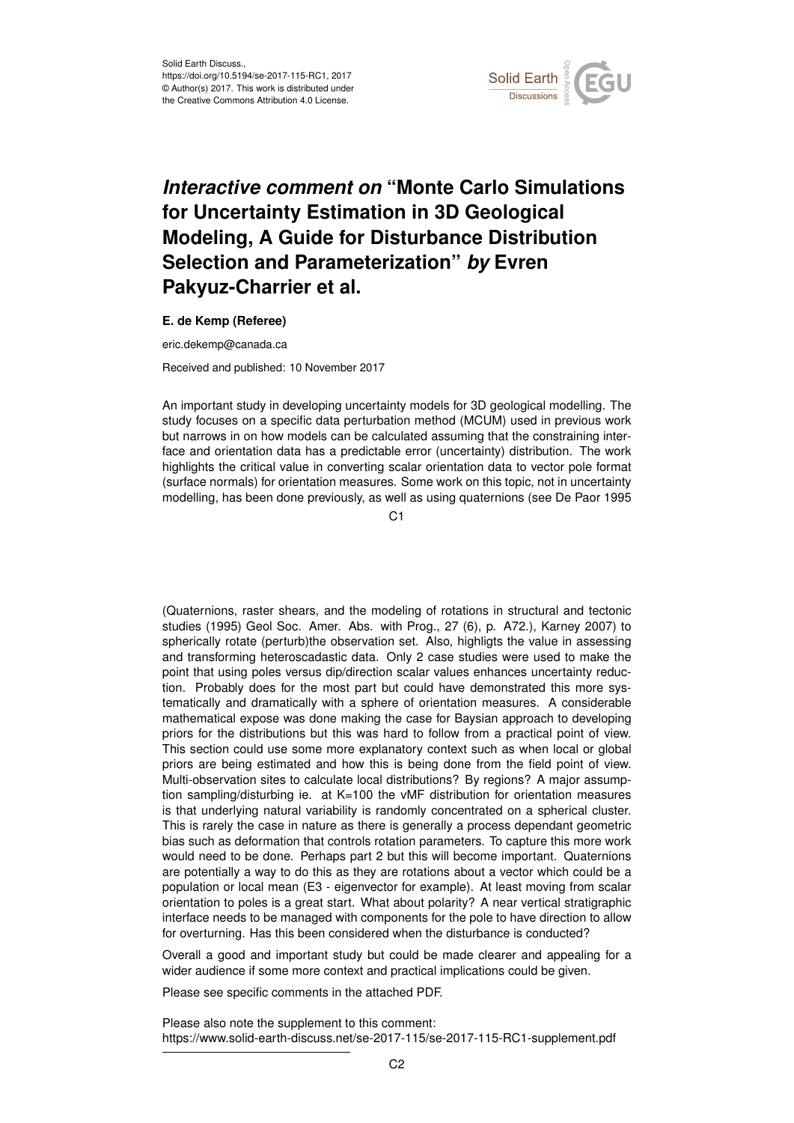

## *Interactive comment on* **"Monte Carlo Simulations for Uncertainty Estimation in 3D Geological Modeling, A Guide for Disturbance Distribution Selection and Parameterization"** *by* **Evren Pakyuz-Charrier et al.**

## **E. de Kemp (Referee)**

eric.dekemp@canada.ca Received and published: 10 November 2017

An important study in developing uncertainty models for 3D geological modelling. The study focuses on a specific data perturbation method (MCUM) used in previous work but narrows in on how models can be calculated assuming that the constraining interface and orientation data has a predictable error (uncertainty) distribution. The work highlights the critical value in converting scalar orientation data to vector pole format (surface normals) for orientation measures. Some work on this topic, not in uncertainty modelling, has been done previously, as well as using quaternions (see De Paor 1995

C1

(Quaternions, raster shears, and the modeling of rotations in structural and tectonic studies (1995) Geol Soc. Amer. Abs. with Prog., 27 (6), p. A72.), Karney 2007) to spherically rotate (perturb)the observation set. Also, highligts the value in assessing and transforming heteroscadastic data. Only 2 case studies were used to make the point that using poles versus dip/direction scalar values enhances uncertainty reduction. Probably does for the most part but could have demonstrated this more systematically and dramatically with a sphere of orientation measures. A considerable mathematical expose was done making the case for Baysian approach to developing priors for the distributions but this was hard to follow from a practical point of view. This section could use some more explanatory context such as when local or global priors are being estimated and how this is being done from the field point of view. Multi-observation sites to calculate local distributions? By regions? A major assumption sampling/disturbing ie. at K=100 the vMF distribution for orientation measures is that underlying natural variability is randomly concentrated on a spherical cluster. This is rarely the case in nature as there is generally a process dependant geometric bias such as deformation that controls rotation parameters. To capture this more work would need to be done. Perhaps part 2 but this will become important. Quaternions are potentially a way to do this as they are rotations about a vector which could be a population or local mean (E3 - eigenvector for example). At least moving from scalar orientation to poles is a great start. What about polarity? A near vertical stratigraphic interface needs to be managed with components for the pole to have direction to allow for overturning. Has this been considered when the disturbance is conducted?

Overall a good and important study but could be made clearer and appealing for a wider audience if some more context and practical implications could be given.

Please see specific comments in the attached PDF.

Please also note the supplement to this comment: https://www.solid-earth-discuss.net/se-2017-115/se-2017-115-RC1-supplement.pdf